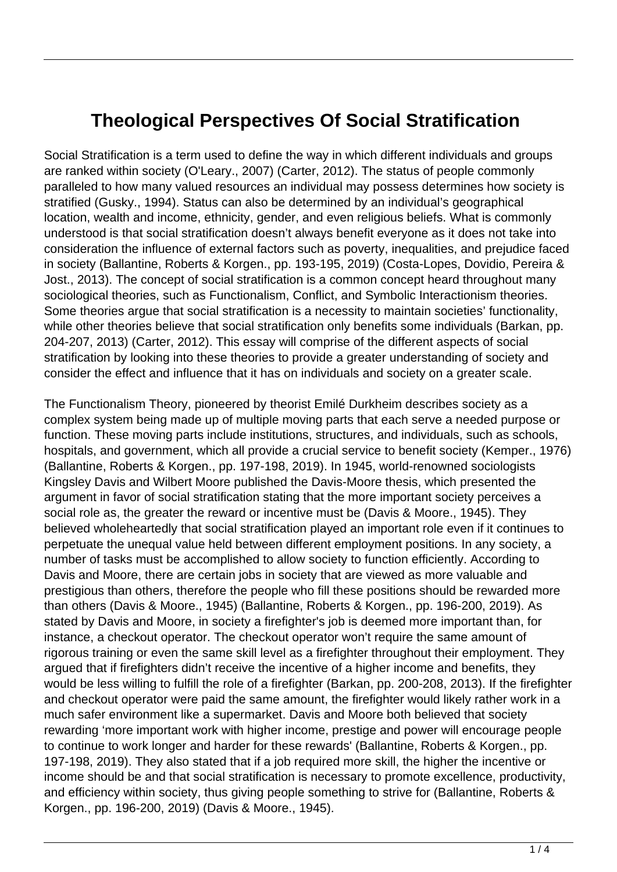## **Theological Perspectives Of Social Stratification**

Social Stratification is a term used to define the way in which different individuals and groups are ranked within society (O'Leary., 2007) (Carter, 2012). The status of people commonly paralleled to how many valued resources an individual may possess determines how society is stratified (Gusky., 1994). Status can also be determined by an individual's geographical location, wealth and income, ethnicity, gender, and even religious beliefs. What is commonly understood is that social stratification doesn't always benefit everyone as it does not take into consideration the influence of external factors such as poverty, inequalities, and prejudice faced in society (Ballantine, Roberts & Korgen., pp. 193-195, 2019) (Costa-Lopes, Dovidio, Pereira & Jost., 2013). The concept of social stratification is a common concept heard throughout many sociological theories, such as Functionalism, Conflict, and Symbolic Interactionism theories. Some theories argue that social stratification is a necessity to maintain societies' functionality, while other theories believe that social stratification only benefits some individuals (Barkan, pp. 204-207, 2013) (Carter, 2012). This essay will comprise of the different aspects of social stratification by looking into these theories to provide a greater understanding of society and consider the effect and influence that it has on individuals and society on a greater scale.

The Functionalism Theory, pioneered by theorist Emilé Durkheim describes society as a complex system being made up of multiple moving parts that each serve a needed purpose or function. These moving parts include institutions, structures, and individuals, such as schools, hospitals, and government, which all provide a crucial service to benefit society (Kemper., 1976) (Ballantine, Roberts & Korgen., pp. 197-198, 2019). In 1945, world-renowned sociologists Kingsley Davis and Wilbert Moore published the Davis-Moore thesis, which presented the argument in favor of social stratification stating that the more important society perceives a social role as, the greater the reward or incentive must be (Davis & Moore., 1945). They believed wholeheartedly that social stratification played an important role even if it continues to perpetuate the unequal value held between different employment positions. In any society, a number of tasks must be accomplished to allow society to function efficiently. According to Davis and Moore, there are certain jobs in society that are viewed as more valuable and prestigious than others, therefore the people who fill these positions should be rewarded more than others (Davis & Moore., 1945) (Ballantine, Roberts & Korgen., pp. 196-200, 2019). As stated by Davis and Moore, in society a firefighter's job is deemed more important than, for instance, a checkout operator. The checkout operator won't require the same amount of rigorous training or even the same skill level as a firefighter throughout their employment. They argued that if firefighters didn't receive the incentive of a higher income and benefits, they would be less willing to fulfill the role of a firefighter (Barkan, pp. 200-208, 2013). If the firefighter and checkout operator were paid the same amount, the firefighter would likely rather work in a much safer environment like a supermarket. Davis and Moore both believed that society rewarding 'more important work with higher income, prestige and power will encourage people to continue to work longer and harder for these rewards' (Ballantine, Roberts & Korgen., pp. 197-198, 2019). They also stated that if a job required more skill, the higher the incentive or income should be and that social stratification is necessary to promote excellence, productivity, and efficiency within society, thus giving people something to strive for (Ballantine, Roberts & Korgen., pp. 196-200, 2019) (Davis & Moore., 1945).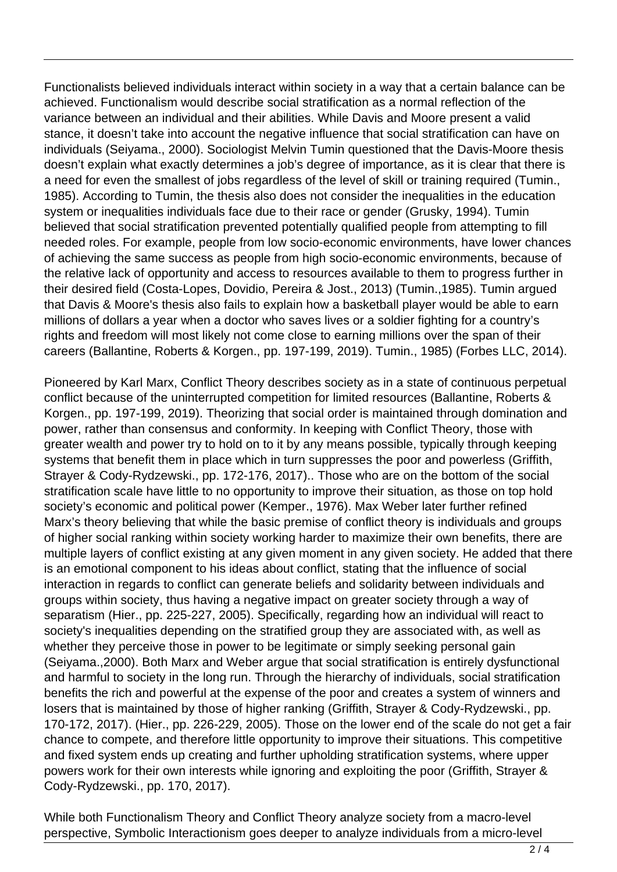Functionalists believed individuals interact within society in a way that a certain balance can be achieved. Functionalism would describe social stratification as a normal reflection of the variance between an individual and their abilities. While Davis and Moore present a valid stance, it doesn't take into account the negative influence that social stratification can have on individuals (Seiyama., 2000). Sociologist Melvin Tumin questioned that the Davis-Moore thesis doesn't explain what exactly determines a job's degree of importance, as it is clear that there is a need for even the smallest of jobs regardless of the level of skill or training required (Tumin., 1985). According to Tumin, the thesis also does not consider the inequalities in the education system or inequalities individuals face due to their race or gender (Grusky, 1994). Tumin believed that social stratification prevented potentially qualified people from attempting to fill needed roles. For example, people from low socio-economic environments, have lower chances of achieving the same success as people from high socio-economic environments, because of the relative lack of opportunity and access to resources available to them to progress further in their desired field (Costa-Lopes, Dovidio, Pereira & Jost., 2013) (Tumin.,1985). Tumin argued that Davis & Moore's thesis also fails to explain how a basketball player would be able to earn millions of dollars a year when a doctor who saves lives or a soldier fighting for a country's rights and freedom will most likely not come close to earning millions over the span of their careers (Ballantine, Roberts & Korgen., pp. 197-199, 2019). Tumin., 1985) (Forbes LLC, 2014).

Pioneered by Karl Marx, Conflict Theory describes society as in a state of continuous perpetual conflict because of the uninterrupted competition for limited resources (Ballantine, Roberts & Korgen., pp. 197-199, 2019). Theorizing that social order is maintained through domination and power, rather than consensus and conformity. In keeping with Conflict Theory, those with greater wealth and power try to hold on to it by any means possible, typically through keeping systems that benefit them in place which in turn suppresses the poor and powerless (Griffith, Strayer & Cody-Rydzewski., pp. 172-176, 2017).. Those who are on the bottom of the social stratification scale have little to no opportunity to improve their situation, as those on top hold society's economic and political power (Kemper., 1976). Max Weber later further refined Marx's theory believing that while the basic premise of conflict theory is individuals and groups of higher social ranking within society working harder to maximize their own benefits, there are multiple layers of conflict existing at any given moment in any given society. He added that there is an emotional component to his ideas about conflict, stating that the influence of social interaction in regards to conflict can generate beliefs and solidarity between individuals and groups within society, thus having a negative impact on greater society through a way of separatism (Hier., pp. 225-227, 2005). Specifically, regarding how an individual will react to society's inequalities depending on the stratified group they are associated with, as well as whether they perceive those in power to be legitimate or simply seeking personal gain (Seiyama.,2000). Both Marx and Weber argue that social stratification is entirely dysfunctional and harmful to society in the long run. Through the hierarchy of individuals, social stratification benefits the rich and powerful at the expense of the poor and creates a system of winners and losers that is maintained by those of higher ranking (Griffith, Strayer & Cody-Rydzewski., pp. 170-172, 2017). (Hier., pp. 226-229, 2005). Those on the lower end of the scale do not get a fair chance to compete, and therefore little opportunity to improve their situations. This competitive and fixed system ends up creating and further upholding stratification systems, where upper powers work for their own interests while ignoring and exploiting the poor (Griffith, Strayer & Cody-Rydzewski., pp. 170, 2017).

While both Functionalism Theory and Conflict Theory analyze society from a macro-level perspective, Symbolic Interactionism goes deeper to analyze individuals from a micro-level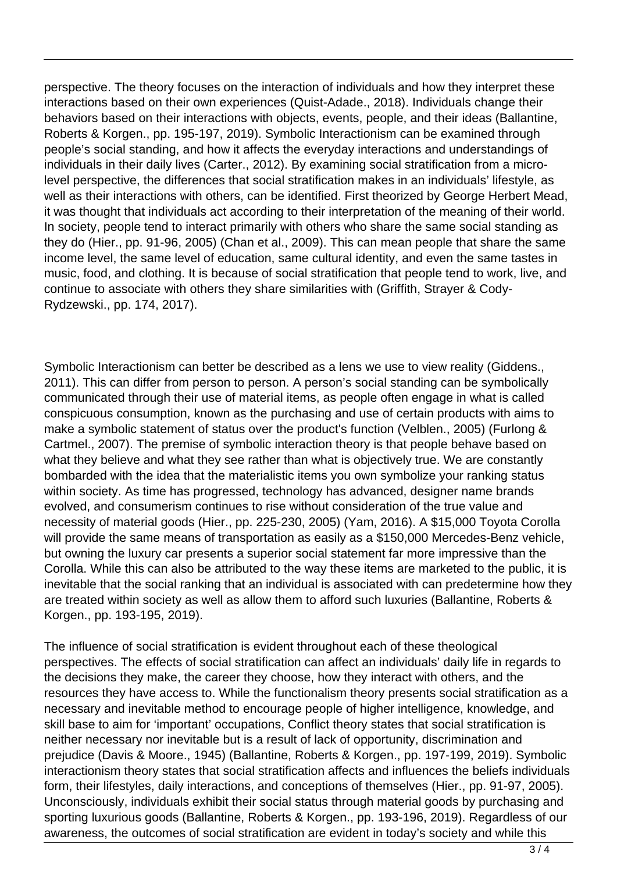perspective. The theory focuses on the interaction of individuals and how they interpret these interactions based on their own experiences (Quist-Adade., 2018). Individuals change their behaviors based on their interactions with objects, events, people, and their ideas (Ballantine, Roberts & Korgen., pp. 195-197, 2019). Symbolic Interactionism can be examined through people's social standing, and how it affects the everyday interactions and understandings of individuals in their daily lives (Carter., 2012). By examining social stratification from a microlevel perspective, the differences that social stratification makes in an individuals' lifestyle, as well as their interactions with others, can be identified. First theorized by George Herbert Mead, it was thought that individuals act according to their interpretation of the meaning of their world. In society, people tend to interact primarily with others who share the same social standing as they do (Hier., pp. 91-96, 2005) (Chan et al., 2009). This can mean people that share the same income level, the same level of education, same cultural identity, and even the same tastes in music, food, and clothing. It is because of social stratification that people tend to work, live, and continue to associate with others they share similarities with (Griffith, Strayer & Cody-Rydzewski., pp. 174, 2017).

Symbolic Interactionism can better be described as a lens we use to view reality (Giddens., 2011). This can differ from person to person. A person's social standing can be symbolically communicated through their use of material items, as people often engage in what is called conspicuous consumption, known as the purchasing and use of certain products with aims to make a symbolic statement of status over the product's function (Velblen., 2005) (Furlong & Cartmel., 2007). The premise of symbolic interaction theory is that people behave based on what they believe and what they see rather than what is objectively true. We are constantly bombarded with the idea that the materialistic items you own symbolize your ranking status within society. As time has progressed, technology has advanced, designer name brands evolved, and consumerism continues to rise without consideration of the true value and necessity of material goods (Hier., pp. 225-230, 2005) (Yam, 2016). A \$15,000 Toyota Corolla will provide the same means of transportation as easily as a \$150,000 Mercedes-Benz vehicle, but owning the luxury car presents a superior social statement far more impressive than the Corolla. While this can also be attributed to the way these items are marketed to the public, it is inevitable that the social ranking that an individual is associated with can predetermine how they are treated within society as well as allow them to afford such luxuries (Ballantine, Roberts & Korgen., pp. 193-195, 2019).

The influence of social stratification is evident throughout each of these theological perspectives. The effects of social stratification can affect an individuals' daily life in regards to the decisions they make, the career they choose, how they interact with others, and the resources they have access to. While the functionalism theory presents social stratification as a necessary and inevitable method to encourage people of higher intelligence, knowledge, and skill base to aim for 'important' occupations, Conflict theory states that social stratification is neither necessary nor inevitable but is a result of lack of opportunity, discrimination and prejudice (Davis & Moore., 1945) (Ballantine, Roberts & Korgen., pp. 197-199, 2019). Symbolic interactionism theory states that social stratification affects and influences the beliefs individuals form, their lifestyles, daily interactions, and conceptions of themselves (Hier., pp. 91-97, 2005). Unconsciously, individuals exhibit their social status through material goods by purchasing and sporting luxurious goods (Ballantine, Roberts & Korgen., pp. 193-196, 2019). Regardless of our awareness, the outcomes of social stratification are evident in today's society and while this